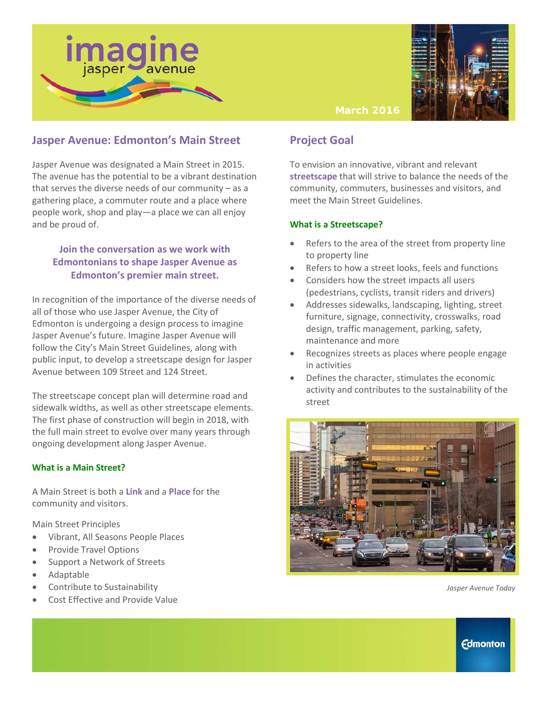



#### **March 2016**

## **Jasper Avenue: Edmonton's Main Street**

Jasper Avenue was designated a Main Street in 2015. The avenue has the potential to be a vibrant destination that serves the diverse needs of our community – as a gathering place, a commuter route and a place where people work, shop and play—a place we can all enjoy and be proud of.

### **Join the conversation as we work with Edmontonians to shape Jasper Avenue as Edmonton's premier main street.**

In recognition of the importance of the diverse needs of all of those who use Jasper Avenue, the City of Edmonton is undergoing a design process to imagine Jasper Avenue's future. Imagine Jasper Avenue will follow the City's Main Street Guidelines, along with public input, to develop a streetscape design for Jasper Avenue between 109 Street and 124 Street.

The streetscape concept plan will determine road and sidewalk widths, as well as other streetscape elements. The first phase of construction will begin in 2018, with the full main street to evolve over many years through ongoing development along Jasper Avenue.

#### **What is a Main Street?**

A Main Street is both a **Link** and a **Place** for the community and visitors.

Main Street Principles

- Vibrant, All Seasons People Places
- Provide Travel Options
- Support a Network of Streets
- Adaptable
- Contribute to Sustainability
- Cost Effective and Provide Value

## **Project Goal**

To envision an innovative, vibrant and relevant **streetscape** that will strive to balance the needs of the community, commuters, businesses and visitors, and meet the Main Street Guidelines.

#### **What is a Streetscape?**

- Refers to the area of the street from property line to property line
- Refers to how a street looks, feels and functions
- Considers how the street impacts all users (pedestrians, cyclists, transit riders and drivers)
- Addresses sidewalks, landscaping, lighting, street furniture, signage, connectivity, crosswalks, road design, traffic management, parking, safety, maintenance and more
- Recognizes streets as places where people engage in activities
- Defines the character, stimulates the economic activity and contributes to the sustainability of the street



*Jasper Avenue Today*

**Edmonton**